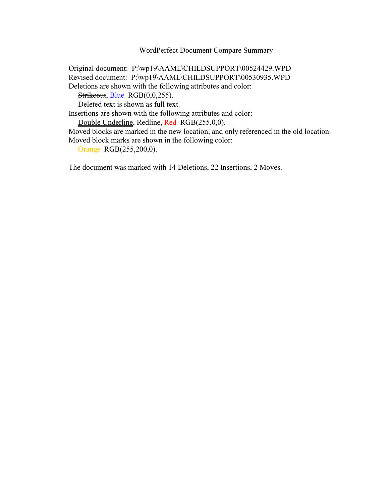WordPerfect Document Compare Summary

Original document: P:\wp19\AAML\CHILDSUPPORT\00524429.WPD Revised document: P:\wp19\AAML\CHILDSUPPORT\00530935.WPD Deletions are shown with the following attributes and color: Strikeout, Blue RGB(0,0,255). Deleted text is shown as full text. Insertions are shown with the following attributes and color: Double Underline, Redline, Red RGB(255,0,0).

Moved blocks are marked in the new location, and only referenced in the old location. Moved block marks are shown in the following color:

Orange RGB(255,200,0).

The document was marked with 14 Deletions, 22 Insertions, 2 Moves.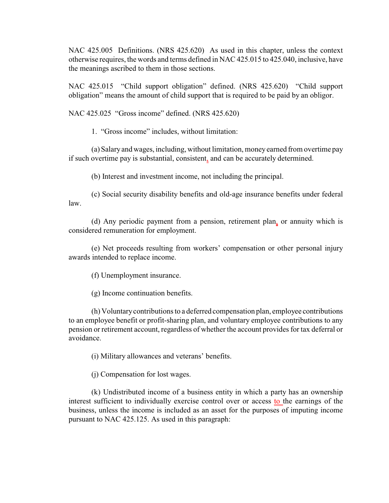NAC 425.005 Definitions. (NRS 425.620) As used in this chapter, unless the context otherwise requires, the words and terms defined in NAC 425.015 to 425.040, inclusive, have the meanings ascribed to them in those sections.

NAC 425.015 "Child support obligation" defined. (NRS 425.620) "Child support obligation" means the amount of child support that is required to be paid by an obligor.

NAC 425.025 "Gross income" defined. (NRS 425.620)

1. "Gross income" includes, without limitation:

(a) Salary and wages, including, without limitation, money earned from overtime pay if such overtime pay is substantial, consistent, and can be accurately determined.

(b) Interest and investment income, not including the principal.

(c) Social security disability benefits and old-age insurance benefits under federal law.

(d) Any periodic payment from a pension, retirement plan, or annuity which is considered remuneration for employment.

(e) Net proceeds resulting from workers' compensation or other personal injury awards intended to replace income.

(f) Unemployment insurance.

(g) Income continuation benefits.

(h) Voluntary contributions to a deferred compensation plan, employee contributions to an employee benefit or profit-sharing plan, and voluntary employee contributions to any pension or retirement account, regardless of whether the account provides for tax deferral or avoidance.

(i) Military allowances and veterans' benefits.

(j) Compensation for lost wages.

(k) Undistributed income of a business entity in which a party has an ownership interest sufficient to individually exercise control over or access to the earnings of the business, unless the income is included as an asset for the purposes of imputing income pursuant to NAC 425.125. As used in this paragraph: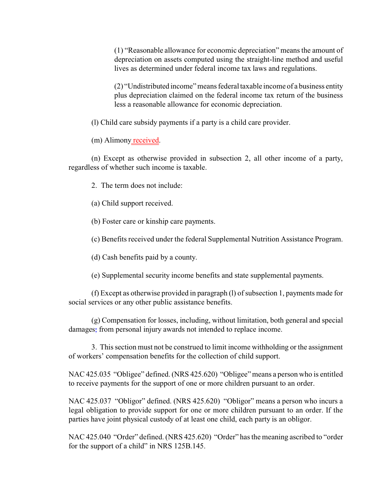(1) "Reasonable allowance for economic depreciation" means the amount of depreciation on assets computed using the straight-line method and useful lives as determined under federal income tax laws and regulations.

(2) "Undistributed income" means federal taxable income of a business entity plus depreciation claimed on the federal income tax return of the business less a reasonable allowance for economic depreciation.

(l) Child care subsidy payments if a party is a child care provider.

(m) Alimony received.

(n) Except as otherwise provided in subsection 2, all other income of a party, regardless of whether such income is taxable.

2. The term does not include:

(a) Child support received.

(b) Foster care or kinship care payments.

(c) Benefits received under the federal Supplemental Nutrition Assistance Program.

(d) Cash benefits paid by a county.

(e) Supplemental security income benefits and state supplemental payments.

(f) Except as otherwise provided in paragraph (l) of subsection 1, payments made for social services or any other public assistance benefits.

(g) Compensation for losses, including, without limitation, both general and special damages, from personal injury awards not intended to replace income.

3. This section must not be construed to limit income withholding or the assignment of workers' compensation benefits for the collection of child support.

NAC 425.035 "Obligee" defined. (NRS 425.620) "Obligee" means a person who is entitled to receive payments for the support of one or more children pursuant to an order.

NAC 425.037 "Obligor" defined. (NRS 425.620) "Obligor" means a person who incurs a legal obligation to provide support for one or more children pursuant to an order. If the parties have joint physical custody of at least one child, each party is an obligor.

NAC 425.040 "Order" defined. (NRS 425.620) "Order" has the meaning ascribed to "order for the support of a child" in NRS 125B.145.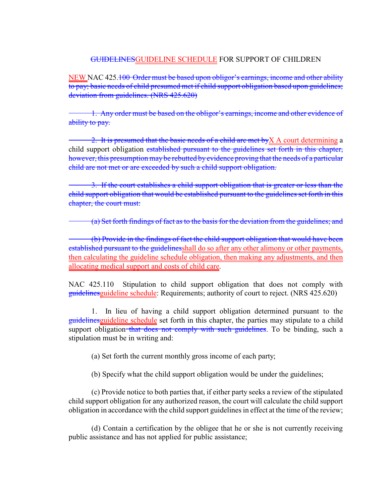## GUIDELINESGUIDELINE SCHEDULE FOR SUPPORT OF CHILDREN

NEW NAC 425.100 Order must be based upon obligor's earnings, income and other ability to pay; basic needs of child presumed met if child support obligation based upon guidelines; deviation from guidelines. (NRS 425.620)

1. Any order must be based on the obligor's earnings, income and other evidence of ability to pay.

2. It is presumed that the basic needs of a child are met by  $X$  A court determining a child support obligation established pursuant to the guidelines set forth in this chapter, however, this presumption may be rebutted by evidence proving that the needs of a particular child are not met or are exceeded by such a child support obligation.

3. If the court establishes a child support obligation that is greater or less than the child support obligation that would be established pursuant to the guidelines set forth in this chapter, the court must:

(a) Set forth findings of fact as to the basis for the deviation from the guidelines; and

(b) Provide in the findings of fact the child support obligation that would have been established pursuant to the guidelinesshall do so after any other alimony or other payments, then calculating the guideline schedule obligation, then making any adjustments, and then allocating medical support and costs of child care.

NAC 425.110 Stipulation to child support obligation that does not comply with guidelines guideline schedule: Requirements; authority of court to reject. (NRS 425.620)

1. In lieu of having a child support obligation determined pursuant to the guidelinesguideline schedule set forth in this chapter, the parties may stipulate to a child support obligation that does not comply with such guidelines. To be binding, such a stipulation must be in writing and:

(a) Set forth the current monthly gross income of each party;

(b) Specify what the child support obligation would be under the guidelines;

(c) Provide notice to both parties that, if either party seeks a review of the stipulated child support obligation for any authorized reason, the court will calculate the child support obligation in accordance with the child support guidelines in effect at the time of the review;

(d) Contain a certification by the obligee that he or she is not currently receiving public assistance and has not applied for public assistance;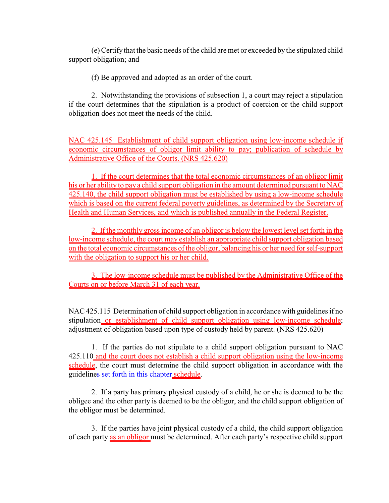(e) Certify that the basic needs of the child are met or exceeded by the stipulated child support obligation; and

(f) Be approved and adopted as an order of the court.

2. Notwithstanding the provisions of subsection 1, a court may reject a stipulation if the court determines that the stipulation is a product of coercion or the child support obligation does not meet the needs of the child.

NAC 425.145 Establishment of child support obligation using low-income schedule if economic circumstances of obligor limit ability to pay; publication of schedule by Administrative Office of the Courts. (NRS 425.620)

1. If the court determines that the total economic circumstances of an obligor limit his or her ability to pay a child support obligation in the amount determined pursuant to NAC 425.140, the child support obligation must be established by using a low-income schedule which is based on the current federal poverty guidelines, as determined by the Secretary of Health and Human Services, and which is published annually in the Federal Register.

2. If the monthly gross income of an obligor is below the lowest level set forth in the low-income schedule, the court may establish an appropriate child support obligation based on the total economic circumstances of the obligor, balancing his or her need for self-support with the obligation to support his or her child.

3. The low-income schedule must be published by the Administrative Office of the Courts on or before March 31 of each year.

NAC 425.115 Determination of child support obligation in accordance with guidelines if no stipulation or establishment of child support obligation using low-income schedule; adjustment of obligation based upon type of custody held by parent. (NRS 425.620)

1. If the parties do not stipulate to a child support obligation pursuant to NAC 425.110 and the court does not establish a child support obligation using the low-income schedule, the court must determine the child support obligation in accordance with the guidelines set forth in this chapter schedule.

2. If a party has primary physical custody of a child, he or she is deemed to be the obligee and the other party is deemed to be the obligor, and the child support obligation of the obligor must be determined.

3. If the parties have joint physical custody of a child, the child support obligation of each party as an obligor must be determined. After each party's respective child support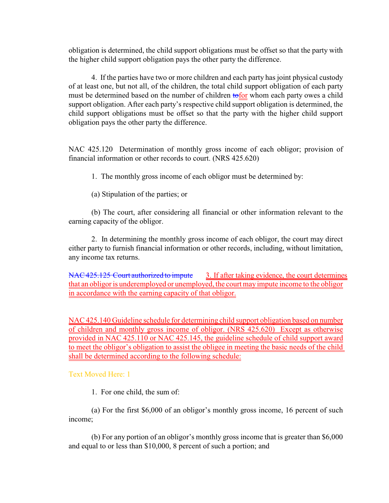obligation is determined, the child support obligations must be offset so that the party with the higher child support obligation pays the other party the difference.

4. If the parties have two or more children and each party has joint physical custody of at least one, but not all, of the children, the total child support obligation of each party must be determined based on the number of children to too whom each party owes a child support obligation. After each party's respective child support obligation is determined, the child support obligations must be offset so that the party with the higher child support obligation pays the other party the difference.

NAC 425.120 Determination of monthly gross income of each obligor; provision of financial information or other records to court. (NRS 425.620)

1. The monthly gross income of each obligor must be determined by:

(a) Stipulation of the parties; or

(b) The court, after considering all financial or other information relevant to the earning capacity of the obligor.

2. In determining the monthly gross income of each obligor, the court may direct either party to furnish financial information or other records, including, without limitation, any income tax returns.

NAC 425.125 Court authorized to impute 3. If after taking evidence, the court determines that an obligor is underemployed or unemployed, the court may impute income to the obligor in accordance with the earning capacity of that obligor.

NAC 425.140 Guideline schedule for determining child support obligation based on number of children and monthly gross income of obligor. (NRS 425.620) Except as otherwise provided in NAC 425.110 or NAC 425.145, the guideline schedule of child support award to meet the obligor's obligation to assist the obligee in meeting the basic needs of the child shall be determined according to the following schedule:

Text Moved Here: 1

1. For one child, the sum of:

(a) For the first \$6,000 of an obligor's monthly gross income, 16 percent of such income;

(b) For any portion of an obligor's monthly gross income that is greater than \$6,000 and equal to or less than \$10,000, 8 percent of such a portion; and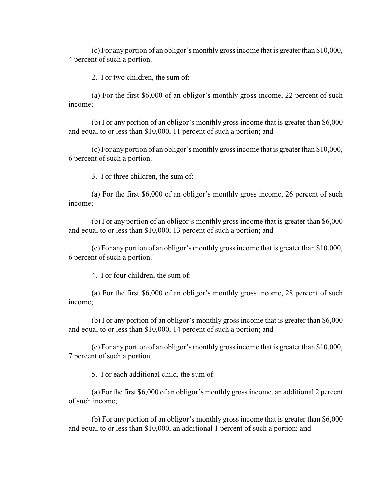(c) For any portion of an obligor's monthly gross income that is greater than \$10,000, 4 percent of such a portion.

2. For two children, the sum of:

(a) For the first \$6,000 of an obligor's monthly gross income, 22 percent of such income;

(b) For any portion of an obligor's monthly gross income that is greater than \$6,000 and equal to or less than \$10,000, 11 percent of such a portion; and

(c) For any portion of an obligor's monthly gross income that is greater than \$10,000, 6 percent of such a portion.

3. For three children, the sum of:

(a) For the first \$6,000 of an obligor's monthly gross income, 26 percent of such income;

(b) For any portion of an obligor's monthly gross income that is greater than \$6,000 and equal to or less than \$10,000, 13 percent of such a portion; and

(c) For any portion of an obligor's monthly gross income that is greater than \$10,000, 6 percent of such a portion.

4. For four children, the sum of:

(a) For the first \$6,000 of an obligor's monthly gross income, 28 percent of such income;

(b) For any portion of an obligor's monthly gross income that is greater than \$6,000 and equal to or less than \$10,000, 14 percent of such a portion; and

(c) For any portion of an obligor's monthly gross income that is greater than \$10,000, 7 percent of such a portion.

5. For each additional child, the sum of:

(a) For the first \$6,000 of an obligor's monthly gross income, an additional 2 percent of such income;

(b) For any portion of an obligor's monthly gross income that is greater than \$6,000 and equal to or less than \$10,000, an additional 1 percent of such a portion; and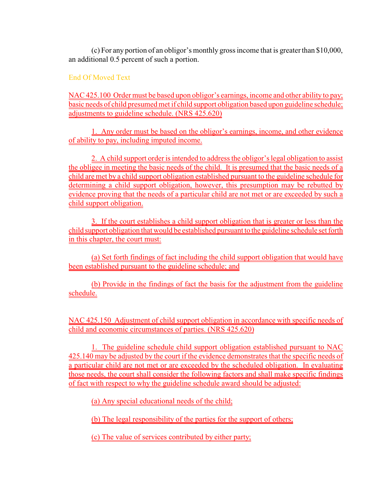(c) For any portion of an obligor's monthly gross income that is greater than \$10,000, an additional 0.5 percent of such a portion.

# End Of Moved Text

NAC 425.100 Order must be based upon obligor's earnings, income and other ability to pay; basic needs of child presumed met if child support obligation based upon guideline schedule; adjustments to guideline schedule. (NRS 425.620)

1. Any order must be based on the obligor's earnings, income, and other evidence of ability to pay, including imputed income.

2. A child support order is intended to address the obligor's legal obligation to assist the obligee in meeting the basic needs of the child. It is presumed that the basic needs of a child are met by a child support obligation established pursuant to the guideline schedule for determining a child support obligation, however, this presumption may be rebutted by evidence proving that the needs of a particular child are not met or are exceeded by such a child support obligation.

3. If the court establishes a child support obligation that is greater or less than the child support obligation that would be established pursuant to the guideline schedule set forth in this chapter, the court must:

(a) Set forth findings of fact including the child support obligation that would have been established pursuant to the guideline schedule; and

(b) Provide in the findings of fact the basis for the adjustment from the guideline schedule.

NAC 425.150 Adjustment of child support obligation in accordance with specific needs of child and economic circumstances of parties. (NRS 425.620)

1. The guideline schedule child support obligation established pursuant to NAC 425.140 may be adjusted by the court if the evidence demonstrates that the specific needs of a particular child are not met or are exceeded by the scheduled obligation. In evaluating those needs, the court shall consider the following factors and shall make specific findings of fact with respect to why the guideline schedule award should be adjusted:

(a) Any special educational needs of the child;

(b) The legal responsibility of the parties for the support of others;

(c) The value of services contributed by either party;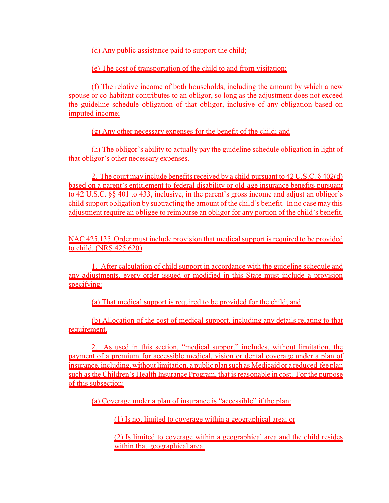(d) Any public assistance paid to support the child;

(e) The cost of transportation of the child to and from visitation;

(f) The relative income of both households, including the amount by which a new spouse or co-habitant contributes to an obligor, so long as the adjustment does not exceed the guideline schedule obligation of that obligor, inclusive of any obligation based on imputed income;

(g) Any other necessary expenses for the benefit of the child; and

(h) The obligor's ability to actually pay the guideline schedule obligation in light of that obligor's other necessary expenses.

2. The court may include benefits received by a child pursuant to 42 U.S.C. § 402(d) based on a parent's entitlement to federal disability or old-age insurance benefits pursuant to 42 U.S.C. §§ 401 to 433, inclusive, in the parent's gross income and adjust an obligor's child support obligation by subtracting the amount of the child's benefit. In no case may this adjustment require an obligee to reimburse an obligor for any portion of the child's benefit.

NAC 425.135 Order must include provision that medical support is required to be provided to child. (NRS 425.620)

1. After calculation of child support in accordance with the guideline schedule and any adjustments, every order issued or modified in this State must include a provision specifying:

(a) That medical support is required to be provided for the child; and

(b) Allocation of the cost of medical support, including any details relating to that requirement.

2. As used in this section, "medical support" includes, without limitation, the payment of a premium for accessible medical, vision or dental coverage under a plan of insurance, including, without limitation, a public plan such as Medicaid or a reduced-fee plan such as the Children's Health Insurance Program, that is reasonable in cost. For the purpose of this subsection:

(a) Coverage under a plan of insurance is "accessible" if the plan:

(1) Is not limited to coverage within a geographical area; or

(2) Is limited to coverage within a geographical area and the child resides within that geographical area.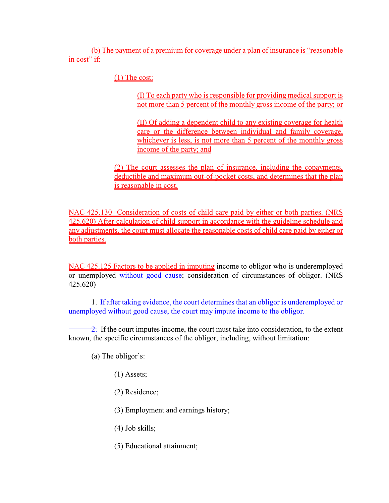(b) The payment of a premium for coverage under a plan of insurance is "reasonable in cost" if:

(1) The cost:

(I) To each party who is responsible for providing medical support is not more than 5 percent of the monthly gross income of the party; or

(II) Of adding a dependent child to any existing coverage for health care or the difference between individual and family coverage, whichever is less, is not more than 5 percent of the monthly gross income of the party; and

(2) The court assesses the plan of insurance, including the copayments, deductible and maximum out-of-pocket costs, and determines that the plan is reasonable in cost.

NAC 425.130 Consideration of costs of child care paid by either or both parties. (NRS 425.620) After calculation of child support in accordance with the guideline schedule and any adjustments, the court must allocate the reasonable costs of child care paid by either or both parties.

NAC 425.125 Factors to be applied in imputing income to obligor who is underemployed or unemployed without good cause; consideration of circumstances of obligor. (NRS 425.620)

1. If after taking evidence, the court determines that an obligor is underemployed or unemployed without good cause, the court may impute income to the obligor.

 $\frac{2}{2}$ . If the court imputes income, the court must take into consideration, to the extent known, the specific circumstances of the obligor, including, without limitation:

(a) The obligor's:

- (1) Assets;
- (2) Residence;

(3) Employment and earnings history;

- (4) Job skills;
- (5) Educational attainment;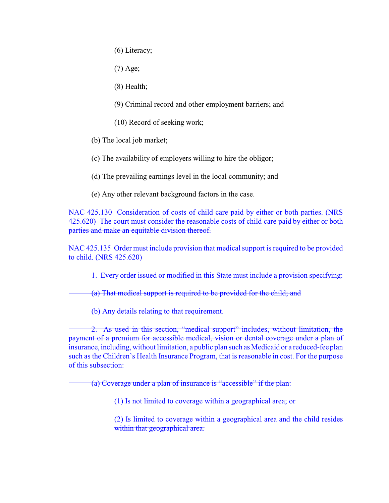(6) Literacy;

(7) Age;

(8) Health;

(9) Criminal record and other employment barriers; and

(10) Record of seeking work;

(b) The local job market;

(c) The availability of employers willing to hire the obligor;

(d) The prevailing earnings level in the local community; and

(e) Any other relevant background factors in the case.

NAC 425.130 Consideration of costs of child care paid by either or both parties. (NRS 425.620) The court must consider the reasonable costs of child care paid by either or both parties and make an equitable division thereof.

NAC 425.135 Order must include provision that medical support is required to be provided to child. (NRS 425.620)

1. Every order issued or modified in this State must include a provision specifying:

(a) That medical support is required to be provided for the child; and

(b) Any details relating to that requirement.

2. As used in this section, "medical support" includes, without limitation, the payment of a premium for accessible medical, vision or dental coverage under a plan of insurance, including, without limitation, a public plan such as Medicaid or a reduced-fee plan such as the Children's Health Insurance Program, that is reasonable in cost. For the purpose of this subsection:

(a) Coverage under a plan of insurance is "accessible" if the plan:

(1) Is not limited to coverage within a geographical area; or

(2) Is limited to coverage within a geographical area and the child resides within that geographical area.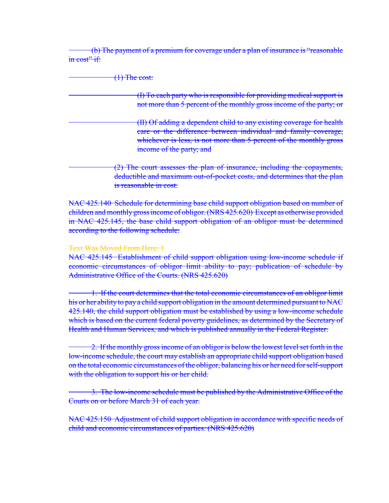(b) The payment of a premium for coverage under a plan of insurance is "reasonable in cost" if:

| $\left(\mathrm{1}\right)$ The cost:                                                                                                                                                                                                      |
|------------------------------------------------------------------------------------------------------------------------------------------------------------------------------------------------------------------------------------------|
| (I) To each party who is responsible for providing medical support is<br>not more than 5 percent of the monthly gross income of the party; or                                                                                            |
| (II) Of adding a dependent child to any existing coverage for health<br>care or the difference between individual and family coverage,<br>whichever is less, is not more than 5 percent of the monthly gross<br>income of the party; and |
| (2) The court assesses the plan of insurance, including the copayments,<br>deductible and maximum out-of-pocket costs, and determines that the plan<br>is reasonable in cost.                                                            |

NAC 425.140 Schedule for determining base child support obligation based on number of children and monthly gross income of obligor. (NRS 425.620) Except as otherwise provided in NAC 425.145, the base child support obligation of an obligor must be determined according to the following schedule:

## Text Was Moved From Here: 1

NAC 425.145 Establishment of child support obligation using low-income schedule if economic circumstances of obligor limit ability to pay; publication of schedule by Administrative Office of the Courts. (NRS 425.620)

1. If the court determines that the total economic circumstances of an obligor limit his or her ability to pay a child support obligation in the amount determined pursuant to NAC 425.140, the child support obligation must be established by using a low-income schedule which is based on the current federal poverty guidelines, as determined by the Secretary of Health and Human Services, and which is published annually in the Federal Register.

2. If the monthly gross income of an obligor is below the lowest level set forth in the low-income schedule, the court may establish an appropriate child support obligation based on the total economic circumstances of the obligor, balancing his or her need for self-support with the obligation to support his or her child.

3. The low-income schedule must be published by the Administrative Office of the Courts on or before March 31 of each year.

NAC 425.150 Adjustment of child support obligation in accordance with specific needs of child and economic circumstances of parties. (NRS 425.620)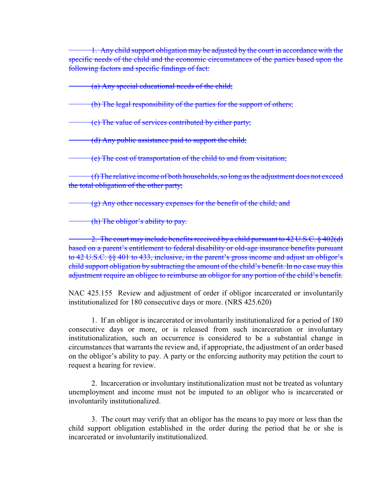1. Any child support obligation may be adjusted by the court in accordance with the specific needs of the child and the economic circumstances of the parties based upon the following factors and specific findings of fact:

(a) Any special educational needs of the child;

(b) The legal responsibility of the parties for the support of others;

(c) The value of services contributed by either party;

(d) Any public assistance paid to support the child;

(e) The cost of transportation of the child to and from visitation;

(f) The relative income of both households, so long as the adjustment does not exceed the total obligation of the other party;

(g) Any other necessary expenses for the benefit of the child; and

(h) The obligor's ability to pay.

2. The court may include benefits received by a child pursuant to 42 U.S.C. § 402(d) based on a parent's entitlement to federal disability or old-age insurance benefits pursuant to 42 U.S.C. §§ 401 to 433, inclusive, in the parent's gross income and adjust an obligor's child support obligation by subtracting the amount of the child's benefit. In no case may this adjustment require an obligee to reimburse an obligor for any portion of the child's benefit.

NAC 425.155 Review and adjustment of order if obligor incarcerated or involuntarily institutionalized for 180 consecutive days or more. (NRS 425.620)

1. If an obligor is incarcerated or involuntarily institutionalized for a period of 180 consecutive days or more, or is released from such incarceration or involuntary institutionalization, such an occurrence is considered to be a substantial change in circumstances that warrants the review and, if appropriate, the adjustment of an order based on the obligor's ability to pay. A party or the enforcing authority may petition the court to request a hearing for review.

2. Incarceration or involuntary institutionalization must not be treated as voluntary unemployment and income must not be imputed to an obligor who is incarcerated or involuntarily institutionalized.

3. The court may verify that an obligor has the means to pay more or less than the child support obligation established in the order during the period that he or she is incarcerated or involuntarily institutionalized.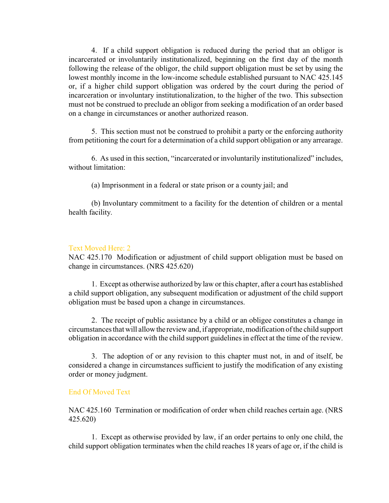4. If a child support obligation is reduced during the period that an obligor is incarcerated or involuntarily institutionalized, beginning on the first day of the month following the release of the obligor, the child support obligation must be set by using the lowest monthly income in the low-income schedule established pursuant to NAC 425.145 or, if a higher child support obligation was ordered by the court during the period of incarceration or involuntary institutionalization, to the higher of the two. This subsection must not be construed to preclude an obligor from seeking a modification of an order based on a change in circumstances or another authorized reason.

5. This section must not be construed to prohibit a party or the enforcing authority from petitioning the court for a determination of a child support obligation or any arrearage.

6. As used in this section, "incarcerated or involuntarily institutionalized" includes, without limitation:

(a) Imprisonment in a federal or state prison or a county jail; and

(b) Involuntary commitment to a facility for the detention of children or a mental health facility.

### Text Moved Here: 2

NAC 425.170 Modification or adjustment of child support obligation must be based on change in circumstances. (NRS 425.620)

1. Except as otherwise authorized by law or this chapter, after a court has established a child support obligation, any subsequent modification or adjustment of the child support obligation must be based upon a change in circumstances.

2. The receipt of public assistance by a child or an obligee constitutes a change in circumstances that will allow the review and, if appropriate, modification of the child support obligation in accordance with the child support guidelines in effect at the time of the review.

3. The adoption of or any revision to this chapter must not, in and of itself, be considered a change in circumstances sufficient to justify the modification of any existing order or money judgment.

### End Of Moved Text

NAC 425.160 Termination or modification of order when child reaches certain age. (NRS 425.620)

1. Except as otherwise provided by law, if an order pertains to only one child, the child support obligation terminates when the child reaches 18 years of age or, if the child is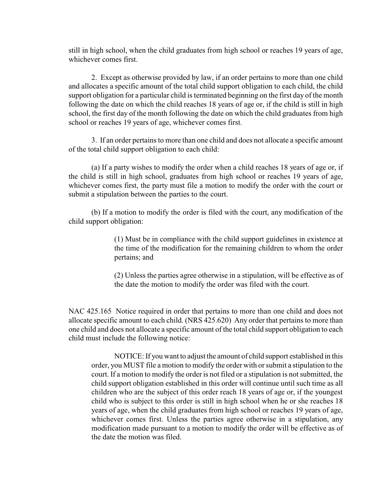still in high school, when the child graduates from high school or reaches 19 years of age, whichever comes first.

2. Except as otherwise provided by law, if an order pertains to more than one child and allocates a specific amount of the total child support obligation to each child, the child support obligation for a particular child is terminated beginning on the first day of the month following the date on which the child reaches 18 years of age or, if the child is still in high school, the first day of the month following the date on which the child graduates from high school or reaches 19 years of age, whichever comes first.

3. If an order pertains to more than one child and does not allocate a specific amount of the total child support obligation to each child:

(a) If a party wishes to modify the order when a child reaches 18 years of age or, if the child is still in high school, graduates from high school or reaches 19 years of age, whichever comes first, the party must file a motion to modify the order with the court or submit a stipulation between the parties to the court.

(b) If a motion to modify the order is filed with the court, any modification of the child support obligation:

> (1) Must be in compliance with the child support guidelines in existence at the time of the modification for the remaining children to whom the order pertains; and

> (2) Unless the parties agree otherwise in a stipulation, will be effective as of the date the motion to modify the order was filed with the court.

NAC 425.165 Notice required in order that pertains to more than one child and does not allocate specific amount to each child. (NRS 425.620) Any order that pertains to more than one child and does not allocate a specific amount of the total child support obligation to each child must include the following notice:

NOTICE: If you want to adjust the amount of child support established in this order, you MUST file a motion to modify the order with or submit a stipulation to the court. If a motion to modify the order is not filed or a stipulation is not submitted, the child support obligation established in this order will continue until such time as all children who are the subject of this order reach 18 years of age or, if the youngest child who is subject to this order is still in high school when he or she reaches 18 years of age, when the child graduates from high school or reaches 19 years of age, whichever comes first. Unless the parties agree otherwise in a stipulation, any modification made pursuant to a motion to modify the order will be effective as of the date the motion was filed.